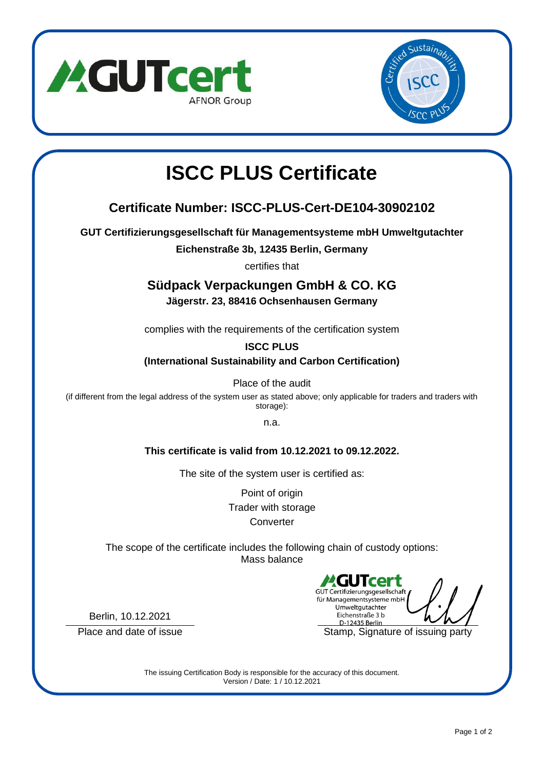



# **ISCC PLUS Certificate**

## **Certificate Number: ISCC-PLUS-Cert-DE104-30902102**

**GUT Certifizierungsgesellschaft für Managementsysteme mbH Umweltgutachter**

**Eichenstraße 3b, 12435 Berlin, Germany**

certifies that

## **Südpack Verpackungen GmbH & CO. KG**

**Jägerstr. 23, 88416 Ochsenhausen Germany**

complies with the requirements of the certification system

#### **ISCC PLUS**

**(International Sustainability and Carbon Certification)**

Place of the audit

(if different from the legal address of the system user as stated above; only applicable for traders and traders with storage):

n.a.

#### **This certificate is valid from 10.12.2021 to 09.12.2022.**

The site of the system user is certified as:

Point of origin Trader with storage **Converter** 

The scope of the certificate includes the following chain of custody options: Mass balance

GUT Certifizierungsgesellschaft für Managementsysteme mbH Umweltgutachter Eichenstraße 3 b D-12435 Berlin Place and date of issue Stamp, Signature of issuing party

Berlin, 10.12.2021

The issuing Certification Body is responsible for the accuracy of this document. Version / Date: 1 / 10.12.2021